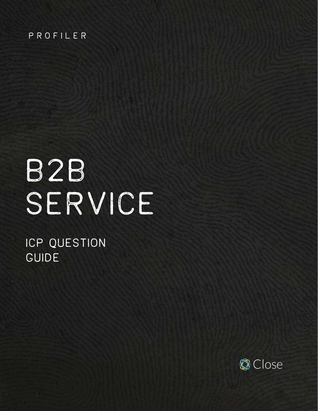#### PROFILER

# B2B SERVICE

# ICP QUESTION GUIDE

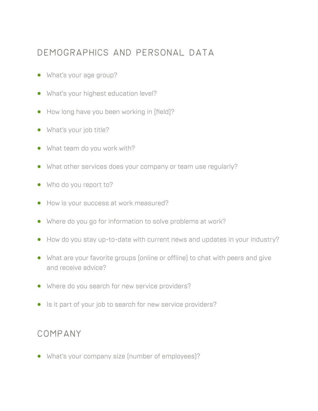#### Demographics and personal data

- **•** What's your age group?
- **•** What's your highest education level?
- **•** How long have you been working in [field]?
- **•** What's your job title?
- **•** What team do you work with?
- **•** What other services does your company or team use regularly?
- **•** Who do you report to?
- **•** How is your success at work measured?
- **•** Where do you go for information to solve problems at work?
- **•** How do you stay up-to-date with current news and updates in your industry?
- **•** What are your favorite groups (online or offline) to chat with peers and give and receive advice?
- **•** Where do you search for new service providers?
- **•** Is it part of your job to search for new service providers?

#### Company

**•** What's your company size (number of employees)?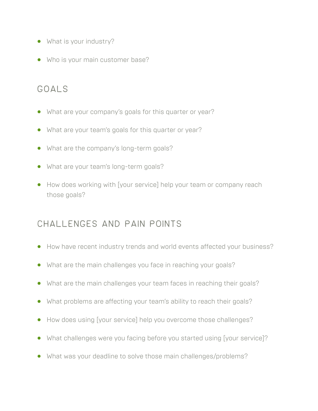- **•** What is your industry?
- **•** Who is your main customer base?

### Goals

- **•** What are your company's goals for this quarter or year?
- **•** What are your team's goals for this quarter or year?
- What are the company's long-term goals?
- **•** What are your team's long-term goals?
- **•** How does working with [your service] help your team or company reach those goals?

### Challenges and pain points

- **•** How have recent industry trends and world events affected your business?
- **•** What are the main challenges you face in reaching your goals?
- **•** What are the main challenges your team faces in reaching their goals?
- **•** What problems are affecting your team's ability to reach their goals?
- **•** How does using [your service] help you overcome those challenges?
- **•** What challenges were you facing before you started using [your service]?
- **•** What was your deadline to solve those main challenges/problems?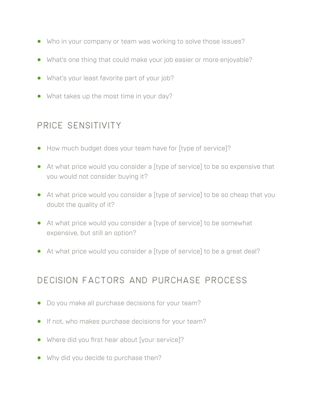- **•** Who in your company or team was working to solve those issues?
- **•** What's one thing that could make your job easier or more enjoyable?
- **•** What's your least favorite part of your job?
- **•** What takes up the most time in your day?

## Price sensitivity

- **•** How much budget does your team have for [type of service]?
- **•** At what price would you consider a [type of service] to be so expensive that you would not consider buying it?
- **•** At what price would you consider a [type of service] to be so cheap that you doubt the quality of it?
- **•** At what price would you consider a [type of service] to be somewhat expensive, but still an option?
- **•** At what price would you consider a [type of service] to be a great deal?

### Decision factors and purchase process

- **•** Do you make all purchase decisions for your team?
- **•** If not, who makes purchase decisions for your team?
- **•** Where did you first hear about [your service]?
- **•** Why did you decide to purchase then?